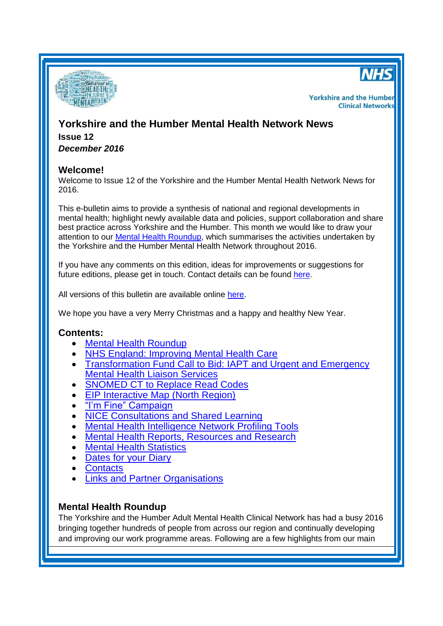



**Yorkshire and the Humber Clinical Networks** 

# **Yorkshire and the Humber Mental Health Network News Issue 12** *December 2016*

## **Welcome!**

Welcome to Issue 12 of the Yorkshire and the Humber Mental Health Network News for 2016.

This e-bulletin aims to provide a synthesis of national and regional developments in mental health; highlight newly available data and policies, support collaboration and share best practice across Yorkshire and the Humber. This month we would like to draw your attention to our [Mental Health Roundup,](#page-0-0) which summarises the activities undertaken by the Yorkshire and the Humber Mental Health Network throughout 2016.

If you have any comments on this edition, ideas for improvements or suggestions for future editions, please get in touch. Contact details can be found [here.](#page-8-0)

All versions of this bulletin are available online [here.](http://www.yhscn.nhs.uk/mental-health-clinic/mental-health-network/MH-documents-and-links.php)

We hope you have a very Merry Christmas and a happy and healthy New Year.

## **Contents:**

- [Mental Health Roundup](#page-0-0)
- [NHS England: Improving Mental Health Care](#page-2-0)
- [Transformation Fund Call to Bid: IAPT and Urgent and Emergency](#page-2-1)  [Mental Health Liaison Services](#page-2-1)
- [SNOMED CT to Replace Read Codes](#page-3-0)
- [EIP Interactive Map \(North Region\)](#page-3-1)
- ["I'm Fine" Campaign](#page-3-0)
- [NICE Consultations and Shared Learning](#page-3-2)
- [Mental Health Intelligence Network Profiling Tools](#page-4-0)
- [Mental Health Reports, Resources](#page-4-1) and Research
- [Mental Health Statistics](#page-5-0)
- [Dates for your](#page-6-0) Diary
- [Contacts](#page-8-0)
- [Links and Partner Organisations](#page-8-1)

# <span id="page-0-0"></span>**Mental Health Roundup**

The Yorkshire and the Humber Adult Mental Health Clinical Network has had a busy 2016 bringing together hundreds of people from across our region and continually developing and improving our work programme areas. Following are a few highlights from our main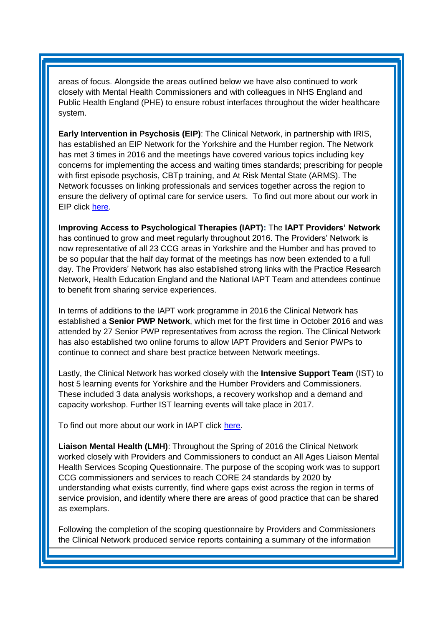areas of focus. Alongside the areas outlined below we have also continued to work closely with Mental Health Commissioners and with colleagues in NHS England and Public Health England (PHE) to ensure robust interfaces throughout the wider healthcare system.

**Early Intervention in Psychosis (EIP)**: The Clinical Network, in partnership with IRIS, has established an EIP Network for the Yorkshire and the Humber region. The Network has met 3 times in 2016 and the meetings have covered various topics including key concerns for implementing the access and waiting times standards; prescribing for people with first episode psychosis, CBTp training, and At Risk Mental State (ARMS). The Network focusses on linking professionals and services together across the region to ensure the delivery of optimal care for service users. To find out more about our work in EIP click [here.](http://www.yhscn.nhs.uk/mental-health-clinic/mental-health-network/EIP.php)

**Improving Access to Psychological Therapies (IAPT):** The **IAPT Providers' Network** has continued to grow and meet regularly throughout 2016. The Providers' Network is now representative of all 23 CCG areas in Yorkshire and the Humber and has proved to be so popular that the half day format of the meetings has now been extended to a full day. The Providers' Network has also established strong links with the Practice Research Network, Health Education England and the National IAPT Team and attendees continue to benefit from sharing service experiences.

In terms of additions to the IAPT work programme in 2016 the Clinical Network has established a **Senior PWP Network**, which met for the first time in October 2016 and was attended by 27 Senior PWP representatives from across the region. The Clinical Network has also established two online forums to allow IAPT Providers and Senior PWPs to continue to connect and share best practice between Network meetings.

Lastly, the Clinical Network has worked closely with the **Intensive Support Team** (IST) to host 5 learning events for Yorkshire and the Humber Providers and Commissioners. These included 3 data analysis workshops, a recovery workshop and a demand and capacity workshop. Further IST learning events will take place in 2017.

To find out more about our work in IAPT click [here.](http://www.yhscn.nhs.uk/mental-health-clinic/mental-health-network/IAPT.php)

**Liaison Mental Health (LMH)**: Throughout the Spring of 2016 the Clinical Network worked closely with Providers and Commissioners to conduct an All Ages Liaison Mental Health Services Scoping Questionnaire. The purpose of the scoping work was to support CCG commissioners and services to reach CORE 24 standards by 2020 by understanding what exists currently, find where gaps exist across the region in terms of service provision, and identify where there are areas of good practice that can be shared as exemplars.

Following the completion of the scoping questionnaire by Providers and Commissioners the Clinical Network produced service reports containing a summary of the information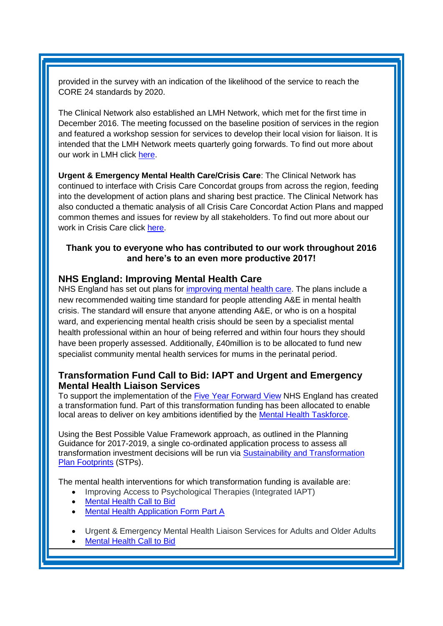provided in the survey with an indication of the likelihood of the service to reach the CORE 24 standards by 2020.

The Clinical Network also established an LMH Network, which met for the first time in December 2016. The meeting focussed on the baseline position of services in the region and featured a workshop session for services to develop their local vision for liaison. It is intended that the LMH Network meets quarterly going forwards. To find out more about our work in LMH click [here.](http://www.yhscn.nhs.uk/mental-health-clinic/mental-health-network/LMH.php)

**Urgent & Emergency Mental Health Care/Crisis Care**: The Clinical Network has continued to interface with Crisis Care Concordat groups from across the region, feeding into the development of action plans and sharing best practice. The Clinical Network has also conducted a thematic analysis of all Crisis Care Concordat Action Plans and mapped common themes and issues for review by all stakeholders. To find out more about our work in Crisis Care click [here.](http://www.yhscn.nhs.uk/mental-health-clinic/mental-health-network/CrisisCare.php)

## **Thank you to everyone who has contributed to our work throughout 2016 and here's to an even more productive 2017!**

## <span id="page-2-0"></span>**NHS England: Improving Mental Health Care**

NHS England has set out plans for [improving mental health care.](https://www.england.nhs.uk/mentalhealth/2016/11/26/improving-mh/) The plans include a new recommended waiting time standard for people attending A&E in mental health crisis. The standard will ensure that anyone attending A&E, or who is on a hospital ward, and experiencing mental health crisis should be seen by a specialist mental health professional within an hour of being referred and within four hours they should have been properly assessed. Additionally, £40million is to be allocated to fund new specialist community mental health services for mums in the perinatal period.

# <span id="page-2-1"></span>**Transformation Fund Call to Bid: IAPT and Urgent and Emergency Mental Health Liaison Services**

To support the implementation of the Five Year [Forward](https://www.england.nhs.uk/ourwork/futurenhs/) View NHS England has created a transformation fund. Part of this transformation funding has been allocated to enable local areas to deliver on key ambitions identified by the Mental Health [Taskforce.](https://www.england.nhs.uk/mentalhealth/taskforce/)

Using the Best Possible Value Framework approach, as outlined in the Planning Guidance for 2017-2019, a single co-ordinated application process to assess all transformation investment decisions will be run via Sustainability and [Transformation](https://www.england.nhs.uk/ourwork/futurenhs/deliver-forward-view/stp/) Plan [Footprints](https://www.england.nhs.uk/ourwork/futurenhs/deliver-forward-view/stp/) (STPs).

The mental health interventions for which transformation funding is available are:

- Improving Access to Psychological Therapies (Integrated IAPT)
- [Mental](https://www.england.nhs.uk/wp-content/uploads/2016/12/mental-health-call-to-bid.pdf) Health Call to Bid
- Mental Health [Application](https://www.england.nhs.uk/wp-content/uploads/2016/12/tf-mental-health-app-form-part-a-iapt.docx) Form Part A
- Urgent & Emergency Mental Health Liaison Services for Adults and Older Adults
- [Mental](https://www.england.nhs.uk/wp-content/uploads/2016/12/mental-health-call-to-bid.pdf) Health Call to Bid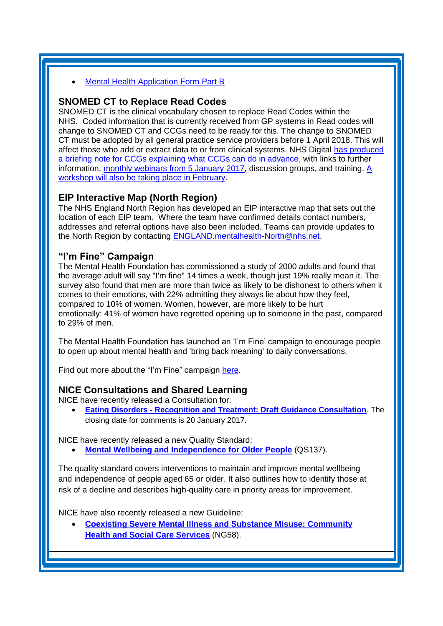#### Mental Health [Application](https://www.england.nhs.uk/wp-content/uploads/2016/12/tf-mental-health-app-form-part-b-uec.docx) Form Part B

#### <span id="page-3-0"></span>**SNOMED CT to Replace Read Codes**

SNOMED CT is the clinical vocabulary chosen to replace Read Codes within the NHS. Coded information that is currently received from GP systems in Read codes will change to SNOMED CT and CCGs need to be ready for this. The change to SNOMED CT must be adopted by all general practice service providers before 1 April 2018. This will affect those who add or extract data to or from clinical systems. NHS Digital [has produced](http://links.nhs.mkt5643.com/ctt?kn=14&ms=NTI5NzI5MDAS1&r=MTU0Mzg0MDU0NDY0S0&b=0&j=MTA2MjQ0Njg4MQS2&mt=1&rt=0)  [a briefing note for CCGs explaining what CCGs can do in advance,](http://links.nhs.mkt5643.com/ctt?kn=14&ms=NTI5NzI5MDAS1&r=MTU0Mzg0MDU0NDY0S0&b=0&j=MTA2MjQ0Njg4MQS2&mt=1&rt=0) with links to further information, [monthly webinars from 5 January](http://links.nhs.mkt5643.com/ctt?kn=8&ms=NTI5NzI5MDAS1&r=MTU0Mzg0MDU0NDY0S0&b=0&j=MTA2MjQ0Njg4MQS2&mt=1&rt=0) 2017, discussion groups, and training. [A](http://links.nhs.mkt5643.com/ctt?kn=19&ms=NTI5NzI5MDAS1&r=MTU0Mzg0MDU0NDY0S0&b=0&j=MTA2MjQ0Njg4MQS2&mt=1&rt=0)  [workshop will also be taking place in February.](http://links.nhs.mkt5643.com/ctt?kn=19&ms=NTI5NzI5MDAS1&r=MTU0Mzg0MDU0NDY0S0&b=0&j=MTA2MjQ0Njg4MQS2&mt=1&rt=0)

## <span id="page-3-1"></span>**EIP Interactive Map (North Region)**

The NHS England North Region has developed an EIP interactive map that sets out the location of each EIP team. Where the team have confirmed details contact numbers, addresses and referral options have also been included. Teams can provide updates to the North Region by contacting [ENGLAND.mentalhealth-North@nhs.net.](mailto:ENGLAND.mentalhealth-North@nhs.net)

## **"I'm Fine" Campaign**

The Mental Health Foundation has commissioned a study of 2000 adults and found that the average adult will say "I'm fine" 14 times a week, though just 19% really mean it. The survey also found that men are more than twice as likely to be dishonest to others when it comes to their emotions, with 22% admitting they always lie about how they feel, compared to 10% of women. Women, however, are more likely to be hurt emotionally: 41% of women have regretted opening up to someone in the past, compared to 29% of men.

The Mental Health Foundation has launched an 'I'm Fine' campaign to encourage people to open up about mental health and 'bring back meaning' to daily conversations.

Find out more about the "I'm Fine" campaign [here.](https://www.mentalhealth.org.uk/get-involved/im-fine)

## <span id="page-3-2"></span>**NICE Consultations and Shared Learning**

NICE have recently released a Consultation for:

 **Eating Disorders - [Recognition and Treatment: Draft Guidance Consultation](https://www.nice.org.uk/guidance/indevelopment/gid-cgwave0703/consultation/html-content)**. The closing date for comments is 20 January 2017.

NICE have recently released a new Quality Standard:

**[Mental Wellbeing and Independence for Older People](https://www.nice.org.uk/guidance/qs137)** (QS137).

The quality standard covers interventions to maintain and improve mental wellbeing and independence of people aged 65 or older. It also outlines how to identify those at risk of a decline and describes high-quality care in priority areas for improvement.

NICE have also recently released a new Guideline:

 **[Coexisting Severe Mental Illness and Substance Misuse: Community](https://www.nice.org.uk/guidance/ng58)  [Health and Social Care Services](https://www.nice.org.uk/guidance/ng58)** (NG58).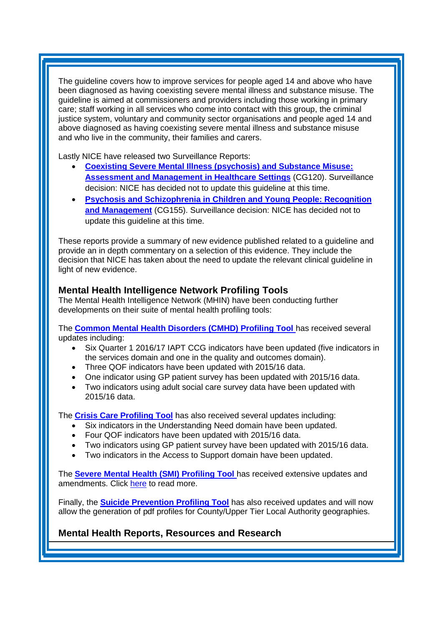The guideline covers how to improve services for people aged 14 and above who have been diagnosed as having coexisting severe mental illness and substance misuse. The guideline is aimed at commissioners and providers including those working in primary care; staff working in all services who come into contact with this group, the criminal justice system, voluntary and community sector organisations and people aged 14 and above diagnosed as having coexisting severe mental illness and substance misuse and who live in the community, their families and carers.

Lastly NICE have released two Surveillance Reports:

- **[Coexisting Severe Mental Illness \(psychosis\) and Substance Misuse:](https://www.nice.org.uk/guidance/cg120/resources/surveillance-report-2016-coexisting-severe-mental-illness-psychosis-and-substance-misuse-assessment-and-management-in-healthcare-settings-2011-nice-guideline-cg120-2726441821/chapter/Surveillance-decision?utm_source=Surveillance+report+alerts&utm_campaign=45605d4d7c-EMAIL_CAMPAIGN_2016_12_16&utm_medium=email&utm_term=0_e232b91fb2-45605d4d7c-169540553)  [Assessment and Management in Healthcare Settings](https://www.nice.org.uk/guidance/cg120/resources/surveillance-report-2016-coexisting-severe-mental-illness-psychosis-and-substance-misuse-assessment-and-management-in-healthcare-settings-2011-nice-guideline-cg120-2726441821/chapter/Surveillance-decision?utm_source=Surveillance+report+alerts&utm_campaign=45605d4d7c-EMAIL_CAMPAIGN_2016_12_16&utm_medium=email&utm_term=0_e232b91fb2-45605d4d7c-169540553)** (CG120). Surveillance decision: NICE has decided not to update this guideline at this time.
- **[Psychosis and Schizophrenia in Children and Young People: Recognition](https://www.nice.org.uk/guidance/cg155/resources/surveillance-report-2016-psychosis-and-schizophrenia-in-children-and-young-people-recognition-and-management-2013-nice-guideline-cg155-2674146925/chapter/Surveillance-decision?utm_source=Surveillance+report+alerts&utm_campaign=45605d4d7c-EMAIL_CAMPAIGN_2016_12_16&utm_medium=email&utm_term=0_e232b91fb2-45605d4d7c-169540553)  [and Management](https://www.nice.org.uk/guidance/cg155/resources/surveillance-report-2016-psychosis-and-schizophrenia-in-children-and-young-people-recognition-and-management-2013-nice-guideline-cg155-2674146925/chapter/Surveillance-decision?utm_source=Surveillance+report+alerts&utm_campaign=45605d4d7c-EMAIL_CAMPAIGN_2016_12_16&utm_medium=email&utm_term=0_e232b91fb2-45605d4d7c-169540553)** (CG155). Surveillance decision: NICE has decided not to update this guideline at this time.

These reports provide a summary of new evidence published related to a guideline and provide an in depth commentary on a selection of this evidence. They include the decision that NICE has taken about the need to update the relevant clinical guideline in light of new evidence.

## <span id="page-4-0"></span>**Mental Health Intelligence Network Profiling Tools**

The Mental Health Intelligence Network (MHIN) have been conducting further developments on their suite of mental health profiling tools:

The **[Common Mental Health Disorders \(CMHD\) Profiling Tool](http://fingertips.phe.org.uk/profile-group/mental-health/profile/common-mental-disorders)** has received several updates including:

- Six Quarter 1 2016/17 IAPT CCG indicators have been updated (five indicators in the services domain and one in the quality and outcomes domain).
- Three QOF indicators have been updated with 2015/16 data.
- One indicator using GP patient survey has been updated with 2015/16 data.
- Two indicators using adult social care survey data have been updated with 2015/16 data.

The **[Crisis Care Profiling Tool](https://fingertips.phe.org.uk/profile-group/mental-health/profile/crisis-care)** has also received several updates including:

- Six indicators in the Understanding Need domain have been updated.
- Four QOF indicators have been updated with 2015/16 data.
- Two indicators using GP patient survey have been updated with 2015/16 data.
- Two indicators in the Access to Support domain have been updated.

The **[Severe Mental Health \(SMI\) Profiling Tool](http://fingertips.phe.org.uk/profile-group/mental-health/profile/severe-mental-illness)** has received extensive updates and amendments. Click [here](http://fingertips.phe.org.uk/profile-group/mental-health/profile/severe-mental-illness) to read more.

Finally, the **[Suicide Prevention Profiling Tool](http://fingertips.phe.org.uk/profile-group/mental-health/profile/suicide)** has also received updates and will now allow the generation of pdf profiles for County/Upper Tier Local Authority geographies.

## <span id="page-4-1"></span>**Mental Health Reports, Resources and Research**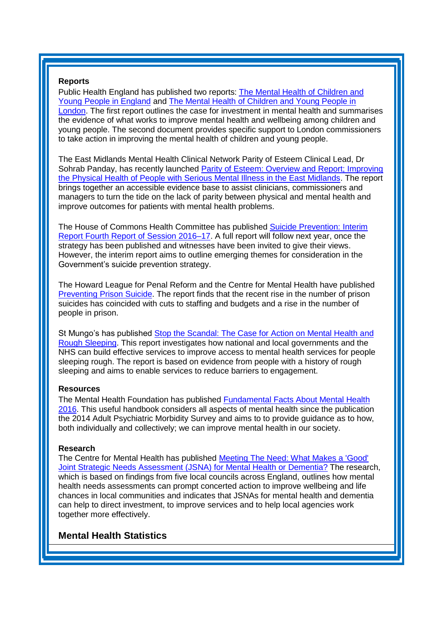#### **Reports**

Public Health England has published two reports: [The Mental Health of Children and](https://www.gov.uk/government/publications/improving-the-mental-health-of-children-and-young-people)  [Young People in England](https://www.gov.uk/government/publications/improving-the-mental-health-of-children-and-young-people) and [The Mental Health of Children and Young People in](https://www.gov.uk/government/news/new-report-looks-at-the-mental-health-of-children-in-london)  [London.](https://www.gov.uk/government/news/new-report-looks-at-the-mental-health-of-children-in-london) The first report outlines the case for investment in mental health and summarises the evidence of what works to improve mental health and wellbeing among children and young people. The second document provides specific support to London commissioners to take action in improving the mental health of children and young people.

The East Midlands Mental Health Clinical Network Parity of Esteem Clinical Lead, Dr Sohrab Panday, has recently launched [Parity of Esteem: Overview and Report; Improving](http://www.emsenate.nhs.uk/downloads/documents/Parity_Report_SinglePages_Web.pdf)  [the Physical Health of People with Serious Mental Illness in the East Midlands.](http://www.emsenate.nhs.uk/downloads/documents/Parity_Report_SinglePages_Web.pdf) The report brings together an accessible evidence base to assist clinicians, commissioners and managers to turn the tide on the lack of parity between physical and mental health and improve outcomes for patients with mental health problems.

The House of Commons Health Committee has published [Suicide Prevention: Interim](http://www.parliament.uk/business/committees/committees-a-z/commons-select/health-committee/news-parliament-20151/suicide-prevention-report-published-16-17/)  [Report Fourth Report of Session 2016–17.](http://www.parliament.uk/business/committees/committees-a-z/commons-select/health-committee/news-parliament-20151/suicide-prevention-report-published-16-17/) A full report will follow next year, once the strategy has been published and witnesses have been invited to give their views. However, the interim report aims to outline emerging themes for consideration in the Government's suicide prevention strategy.

The Howard League for Penal Reform and the Centre for Mental Health have published [Preventing Prison Suicide.](http://www.centreformentalhealth.org.uk/news/2016-becomes-worst-year-ever-recorded-for-suicides-in-prisons) The report finds that the recent rise in the number of prison suicides has coincided with cuts to staffing and budgets and a rise in the number of people in prison.

St Mungo's has published [Stop the Scandal: The Case for Action on Mental Health and](http://www.mungos.org/documents/7430/7430.pdf?utm_source=The%20King%27s%20Fund%20newsletters&utm_medium=email&utm_campaign=7768640_NEWSL_HWBB%202016-12-05&dm_i=21A8,4MIBK,FLWQCU,HAIXR,1)  [Rough Sleeping.](http://www.mungos.org/documents/7430/7430.pdf?utm_source=The%20King%27s%20Fund%20newsletters&utm_medium=email&utm_campaign=7768640_NEWSL_HWBB%202016-12-05&dm_i=21A8,4MIBK,FLWQCU,HAIXR,1) This report investigates how national and local governments and the NHS can build effective services to improve access to mental health services for people sleeping rough. The report is based on evidence from people with a history of rough sleeping and aims to enable services to reduce barriers to engagement.

#### **Resources**

The Mental Health Foundation has published [Fundamental Facts About Mental Health](http://www.mentalhealth.org.uk/publications/fundamental-facts-about-mental-health-2016)  [2016.](http://www.mentalhealth.org.uk/publications/fundamental-facts-about-mental-health-2016) This useful handbook considers all aspects of mental health since the publication the 2014 Adult Psychiatric Morbidity Survey and aims to to provide guidance as to how, both individually and collectively; we can improve mental health in our society.

#### **Research**

The Centre for Mental Health has published [Meeting The Need: What Makes a 'Good'](https://www.centreformentalhealth.org.uk/meeting-the-need)  [Joint Strategic Needs Assessment \(JSNA\) for Mental Health or Dementia?](https://www.centreformentalhealth.org.uk/meeting-the-need) The research, which is based on findings from five local councils across England, outlines how mental health needs assessments can prompt concerted action to improve wellbeing and life chances in local communities and indicates that JSNAs for mental health and dementia can help to direct investment, to improve services and to help local agencies work together more effectively.

## <span id="page-5-0"></span>**Mental Health Statistics**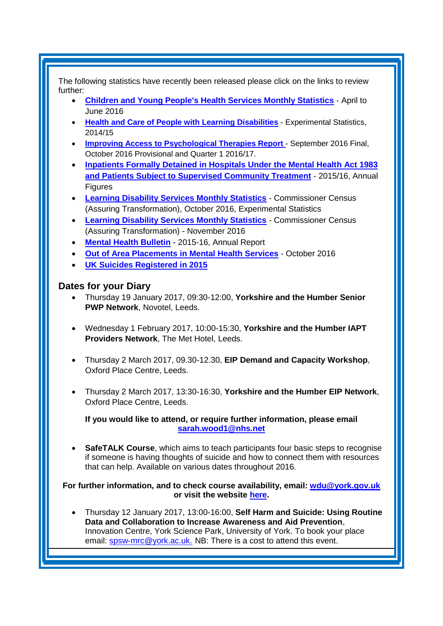The following statistics have recently been released please click on the links to review further:

- **[Children and Young People's Health Services Monthly Statistics](https://www.gov.uk/government/statistics/children-and-young-peoples-health-services-monthly-statistics-april-to-june-2016)** April to June 2016
- **[Health and Care of People with Learning Disabilities](https://www.gov.uk/government/statistics/health-and-care-of-people-with-learning-disabilities-2014-to-2015)** Experimental Statistics, 2014/15
- **Improving Access to Psychological Therapies Report** September 2016 Final, October 2016 Provisional and Quarter 1 2016/17.
- **[Inpatients Formally Detained in Hospitals Under the Mental Health Act 1983](http://www.content.digital.nhs.uk/catalogue/PUB22571)  [and Patients Subject to Supervised Community Treatment](http://www.content.digital.nhs.uk/catalogue/PUB22571)** - 2015/16, Annual Figures
- **[Learning Disability Services Monthly Statistics](http://www.content.digital.nhs.uk/catalogue/PUB22555)** Commissioner Census (Assuring Transformation), October 2016, Experimental Statistics
- **[Learning Disability Services Monthly Statistics](http://www.content.digital.nhs.uk/catalogue/PUB22843)** Commissioner Census (Assuring Transformation) - November 2016
- **[Mental Health Bulletin](http://www.content.digital.nhs.uk/catalogue/PUB22561)** 2015-16, Annual Report
- **[Out of Area Placements in Mental Health Services](https://www.gov.uk/government/statistics/out-of-area-placements-in-mental-health-services-oct-2016)** October 2016
- **[UK Suicides Registered in 2015](https://www.ons.gov.uk/releases/uksuicidesregisteredin2015)**

## <span id="page-6-0"></span>**Dates for your Diary**

- Thursday 19 January 2017, 09:30-12:00, **Yorkshire and the Humber Senior PWP Network**, Novotel, Leeds.
- Wednesday 1 February 2017, 10:00-15:30, **Yorkshire and the Humber IAPT Providers Network**, The Met Hotel, Leeds.
- Thursday 2 March 2017, 09.30-12.30, **EIP Demand and Capacity Workshop**, Oxford Place Centre, Leeds.
- Thursday 2 March 2017, 13:30-16:30, **Yorkshire and the Humber EIP Network**, Oxford Place Centre, Leeds.

**If you would like to attend, or require further information, please email [sarah.wood1@nhs.net](mailto:sarah.wood1@nhs.net)**

 **SafeTALK Course**, which aims to teach participants four basic steps to recognise if someone is having thoughts of suicide and how to connect them with resources that can help. Available on various dates throughout 2016.

#### **For further information, and to check course availability, email: [wdu@york.gov.uk](mailto:wdu@york.gov.uk) or visit the website [here.](http://www.yorkworkforcedevelopment.org.uk/)**

 Thursday 12 January 2017, 13:00-16:00, **Self Harm and Suicide: Using Routine Data and Collaboration to Increase Awareness and Aid Prevention**, Innovation Centre, York Science Park, University of York. To book your place email: [spsw-mrc@york.ac.uk.](mailto:spsw-mrc@york.ac.uk) NB: There is a cost to attend this event.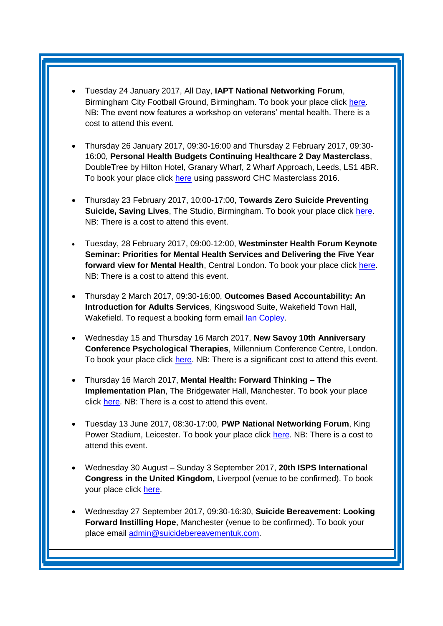- Tuesday 24 January 2017, All Day, **IAPT National Networking Forum**, Birmingham City Football Ground, Birmingham. To book your place click [here.](http://www.iapt-nnf.co.uk/booking/index/57/?utm_source=SBK%20Healthcare&utm_medium=email&utm_campaign=7571577_1701PT%201st%20email&dm_i=1SB0,4IA9L,NDG0NR,GO71G,1) NB: The event now features a workshop on veterans' mental health. There is a cost to attend this event.
- Thursday 26 January 2017, 09:30-16:00 and Thursday 2 February 2017, 09:30- 16:00, **Personal Health Budgets Continuing Healthcare 2 Day Masterclass**, DoubleTree by Hilton Hotel, Granary Wharf, 2 Wharf Approach, Leeds, LS1 4BR. To book your place click [here](https://www.events.england.nhs.uk/nhsengland/frontend/reg/thome.csp?pageID=86325&eventID=386&eventID=386&CSPCHD=000004000000Gd6an9QnqdBp9WB5qX4yANw1n5JpHFS01hMMeD) using password CHC Masterclass 2016.
- Thursday 23 February 2017, 10:00-17:00, **Towards Zero Suicide Preventing Suicide, Saving Lives**, The Studio, Birmingham. To book your place click [here.](http://www.healthcareconferencesuk.co.uk/event/1224/book) NB: There is a cost to attend this event.
- Tuesday, 28 February 2017, 09:00-12:00, **Westminster Health Forum Keynote Seminar: Priorities for Mental Health Services and Delivering the Five Year forward view for Mental Health**, Central London. To book your place click [here.](http://www.westminsterforumprojects.co.uk/forums/book_event.php?eid=1301) NB: There is a cost to attend this event.
- Thursday 2 March 2017, 09:30-16:00, **Outcomes Based Accountability: An Introduction for Adults Services**, Kingswood Suite, Wakefield Town Hall, Wakefield. To request a booking form email [Ian Copley.](mailto:icopley@wakefield.gov.uk)
- Wednesday 15 and Thursday 16 March 2017, **New Savoy 10th Anniversary Conference Psychological Therapies**, Millennium Conference Centre, London. To book your place click [here.](http://www.healthcareconferencesuk.co.uk/conf/uploads/brochures/1210_20161216-123927_Psychological_Therapies_2017.pdf) NB: There is a significant cost to attend this event.
- Thursday 16 March 2017, **Mental Health: Forward Thinking – The Implementation Plan**, The Bridgewater Hall, Manchester. To book your place click [here.](https://www.eventbrite.co.uk/e/mental-health-forward-thinking-the-implementation-plan-registration-28420752235?utm_source=S3+ALL+MH+PAST+OPENS+AND+CLICKS+17%2F11%2F16&utm_medium=email&utm_campaign=S3+OFE+Mental+Health+2017) NB: There is a cost to attend this event.
- Tuesday 13 June 2017, 08:30-17:00, **PWP National Networking Forum**, King Power Stadium, Leicester. To book your place click [here.](http://www.iapt-nnf.co.uk/Home/ViewEvent/62?utm_source=SBK%20Healthcare&utm_medium=email&utm_campaign=7812213_PWP%202017%20call%20for%20speakers&dm_i=1SB0,4NFXX,NDG0NR,HCBR9,1#agenda) NB: There is a cost to attend this event.
- Wednesday 30 August Sunday 3 September 2017, **20th ISPS International Congress in the United Kingdom**, Liverpool (venue to be confirmed). To book your place click [here.](http://www.isps2017uk.org/)
- Wednesday 27 September 2017, 09:30-16:30, **Suicide Bereavement: Looking Forward Instilling Hope**, Manchester (venue to be confirmed). To book your place email [admin@suicidebereavementuk.com.](mailto:admin@suicidebereavementuk.com)